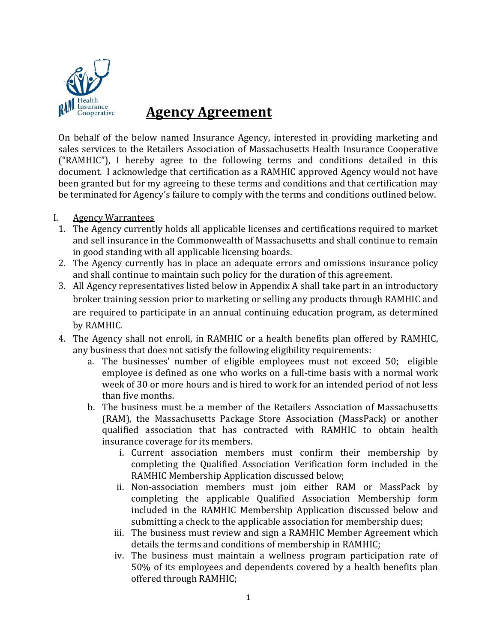

# **Agency Agreement**

On behalf of the below named Insurance Agency, interested in providing marketing and sales services to the Retailers Association of Massachusetts Health Insurance Cooperative ("RAMHIC"), I hereby agree to the following terms and conditions detailed in this document. I acknowledge that certification as a RAMHIC approved Agency would not have been granted but for my agreeing to these terms and conditions and that certification may be terminated for Agency's failure to comply with the terms and conditions outlined below.

- I. Agency Warrantees
- 1. The Agency currently holds all applicable licenses and certifications required to market and sell insurance in the Commonwealth of Massachusetts and shall continue to remain in good standing with all applicable licensing boards.
- 2. The Agency currently has in place an adequate errors and omissions insurance policy and shall continue to maintain such policy for the duration of this agreement.
- 3. All Agency representatives listed below in Appendix A shall take part in an introductory broker training session prior to marketing or selling any products through RAMHIC and are required to participate in an annual continuing education program, as determined by RAMHIC.
- 4. The Agency shall not enroll, in RAMHIC or a health benefits plan offered by RAMHIC, any business that does not satisfy the following eligibility requirements:
	- a. The businesses' number of eligible employees must not exceed 50; eligible employee is defined as one who works on a full-time basis with a normal work week of 30 or more hours and is hired to work for an intended period of not less than five months.
	- b. The business must be a member of the Retailers Association of Massachusetts (RAM), the Massachusetts Package Store Association (MassPack) or another qualified association that has contracted with RAMHIC to obtain health insurance coverage for its members.
		- i. Current association members must confirm their membership by completing the Qualified Association Verification form included in the RAMHIC Membership Application discussed below;
		- ii. Non-association members must join either RAM or MassPack by completing the applicable Qualified Association Membership form included in the RAMHIC Membership Application discussed below and submitting a check to the applicable association for membership dues;
		- iii. The business must review and sign a RAMHIC Member Agreement which details the terms and conditions of membership in RAMHIC;
		- iv. The business must maintain a wellness program participation rate of 50% of its employees and dependents covered by a health benefits plan offered through RAMHIC;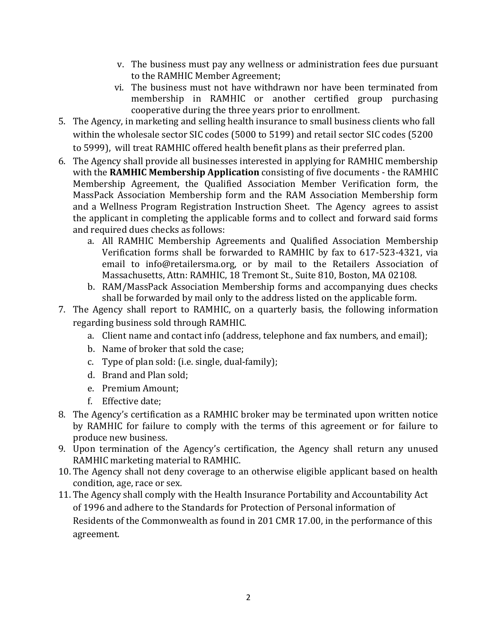- v. The business must pay any wellness or administration fees due pursuant to the RAMHIC Member Agreement;
- vi. The business must not have withdrawn nor have been terminated from membership in RAMHIC or another certified group purchasing cooperative during the three years prior to enrollment.
- 5. The Agency, in marketing and selling health insurance to small business clients who fall within the wholesale sector SIC codes (5000 to 5199) and retail sector SIC codes (5200 to 5999), will treat RAMHIC offered health benefit plans as their preferred plan.
- 6. The Agency shall provide all businesses interested in applying for RAMHIC membership with the **RAMHIC Membership Application** consisting of five documents - the RAMHIC Membership Agreement, the Qualified Association Member Verification form, the MassPack Association Membership form and the RAM Association Membership form and a Wellness Program Registration Instruction Sheet. The Agency agrees to assist the applicant in completing the applicable forms and to collect and forward said forms and required dues checks as follows:
	- a. All RAMHIC Membership Agreements and Qualified Association Membership Verification forms shall be forwarded to RAMHIC by fax to 617-523-4321, via email to info@retailersma.org, or by mail to the Retailers Association of Massachusetts, Attn: RAMHIC, 18 Tremont St., Suite 810, Boston, MA 02108.
	- b. RAM/MassPack Association Membership forms and accompanying dues checks shall be forwarded by mail only to the address listed on the applicable form.
- 7. The Agency shall report to RAMHIC, on a quarterly basis, the following information regarding business sold through RAMHIC.
	- a. Client name and contact info (address, telephone and fax numbers, and email);
	- b. Name of broker that sold the case;
	- c. Type of plan sold: (i.e. single, dual-family);
	- d. Brand and Plan sold;
	- e. Premium Amount;
	- f. Effective date;
- 8. The Agency's certification as a RAMHIC broker may be terminated upon written notice by RAMHIC for failure to comply with the terms of this agreement or for failure to produce new business.
- 9. Upon termination of the Agency's certification, the Agency shall return any unused RAMHIC marketing material to RAMHIC.
- 10. The Agency shall not deny coverage to an otherwise eligible applicant based on health condition, age, race or sex.
- 11. The Agency shall comply with the Health Insurance Portability and Accountability Act of 1996 and adhere to the Standards for Protection of Personal information of Residents of the Commonwealth as found in 201 CMR 17.00, in the performance of this agreement.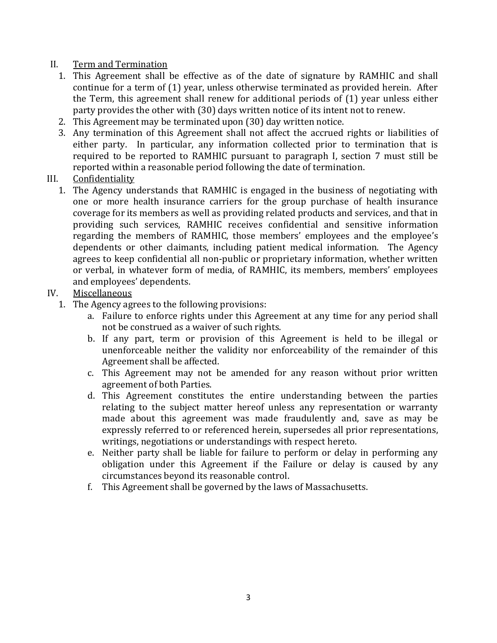## II. Term and Termination

- 1. This Agreement shall be effective as of the date of signature by RAMHIC and shall continue for a term of (1) year, unless otherwise terminated as provided herein. After the Term, this agreement shall renew for additional periods of (1) year unless either party provides the other with (30) days written notice of its intent not to renew.
- 2. This Agreement may be terminated upon (30) day written notice.
- 3. Any termination of this Agreement shall not affect the accrued rights or liabilities of either party. In particular, any information collected prior to termination that is required to be reported to RAMHIC pursuant to paragraph I, section 7 must still be reported within a reasonable period following the date of termination.

### III. Confidentiality

1. The Agency understands that RAMHIC is engaged in the business of negotiating with one or more health insurance carriers for the group purchase of health insurance coverage for its members as well as providing related products and services, and that in providing such services, RAMHIC receives confidential and sensitive information regarding the members of RAMHIC, those members' employees and the employee's dependents or other claimants, including patient medical information. The Agency agrees to keep confidential all non-public or proprietary information, whether written or verbal, in whatever form of media, of RAMHIC, its members, members' employees and employees' dependents.

## IV. Miscellaneous

- 1. The Agency agrees to the following provisions:
	- a. Failure to enforce rights under this Agreement at any time for any period shall not be construed as a waiver of such rights.
	- b. If any part, term or provision of this Agreement is held to be illegal or unenforceable neither the validity nor enforceability of the remainder of this Agreement shall be affected.
	- c. This Agreement may not be amended for any reason without prior written agreement of both Parties.
	- d. This Agreement constitutes the entire understanding between the parties relating to the subject matter hereof unless any representation or warranty made about this agreement was made fraudulently and, save as may be expressly referred to or referenced herein, supersedes all prior representations, writings, negotiations or understandings with respect hereto.
	- e. Neither party shall be liable for failure to perform or delay in performing any obligation under this Agreement if the Failure or delay is caused by any circumstances beyond its reasonable control.
	- f. This Agreement shall be governed by the laws of Massachusetts.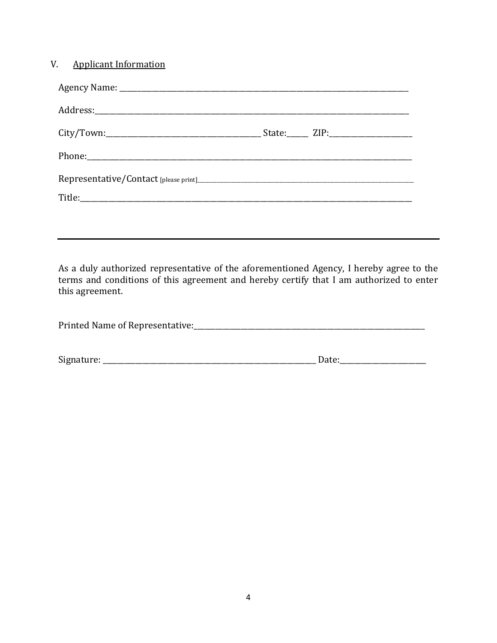As a duly authorized representative of the aforementioned Agency, I hereby agree to the terms and conditions of this agreement and hereby certify that I am authorized to enter this agreement.

| Printed Name of Representative: |  |
|---------------------------------|--|
|                                 |  |

| $\sim$<br>Signatur<br>ilatul e. | - |
|---------------------------------|---|
|                                 |   |